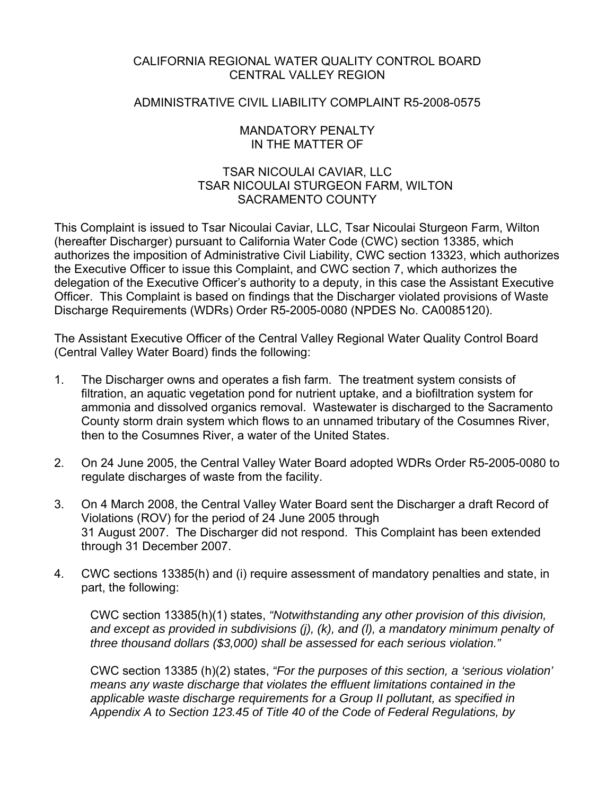## CALIFORNIA REGIONAL WATER QUALITY CONTROL BOARD CENTRAL VALLEY REGION

## ADMINISTRATIVE CIVIL LIABILITY COMPLAINT R5-2008-0575

### MANDATORY PENALTY IN THE MATTER OF

## TSAR NICOULAI CAVIAR, LLC TSAR NICOULAI STURGEON FARM, WILTON SACRAMENTO COUNTY

This Complaint is issued to Tsar Nicoulai Caviar, LLC, Tsar Nicoulai Sturgeon Farm, Wilton (hereafter Discharger) pursuant to California Water Code (CWC) section 13385, which authorizes the imposition of Administrative Civil Liability, CWC section 13323, which authorizes the Executive Officer to issue this Complaint, and CWC section 7, which authorizes the delegation of the Executive Officer's authority to a deputy, in this case the Assistant Executive Officer. This Complaint is based on findings that the Discharger violated provisions of Waste Discharge Requirements (WDRs) Order R5-2005-0080 (NPDES No. CA0085120).

The Assistant Executive Officer of the Central Valley Regional Water Quality Control Board (Central Valley Water Board) finds the following:

- 1. The Discharger owns and operates a fish farm. The treatment system consists of filtration, an aquatic vegetation pond for nutrient uptake, and a biofiltration system for ammonia and dissolved organics removal. Wastewater is discharged to the Sacramento County storm drain system which flows to an unnamed tributary of the Cosumnes River, then to the Cosumnes River, a water of the United States.
- 2. On 24 June 2005, the Central Valley Water Board adopted WDRs Order R5-2005-0080 to regulate discharges of waste from the facility.
- 3. On 4 March 2008, the Central Valley Water Board sent the Discharger a draft Record of Violations (ROV) for the period of 24 June 2005 through 31 August 2007. The Discharger did not respond. This Complaint has been extended through 31 December 2007.
- 4. CWC sections 13385(h) and (i) require assessment of mandatory penalties and state, in part, the following:

CWC section 13385(h)(1) states, *"Notwithstanding any other provision of this division, and except as provided in subdivisions (j), (k), and (l), a mandatory minimum penalty of three thousand dollars (\$3,000) shall be assessed for each serious violation."* 

CWC section 13385 (h)(2) states, *"For the purposes of this section, a 'serious violation' means any waste discharge that violates the effluent limitations contained in the applicable waste discharge requirements for a Group II pollutant, as specified in Appendix A to Section 123.45 of Title 40 of the Code of Federal Regulations, by*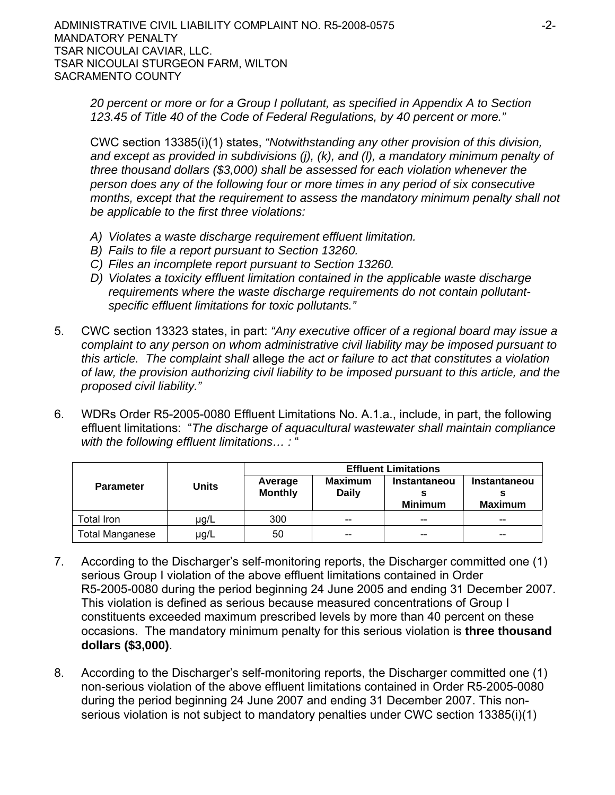*20 percent or more or for a Group I pollutant, as specified in Appendix A to Section 123.45 of Title 40 of the Code of Federal Regulations, by 40 percent or more."*

CWC section 13385(i)(1) states, *"Notwithstanding any other provision of this division, and except as provided in subdivisions (j), (k), and (l), a mandatory minimum penalty of three thousand dollars (\$3,000) shall be assessed for each violation whenever the person does any of the following four or more times in any period of six consecutive months, except that the requirement to assess the mandatory minimum penalty shall not be applicable to the first three violations:*

- *A) Violates a waste discharge requirement effluent limitation.*
- *B) Fails to file a report pursuant to Section 13260.*
- *C) Files an incomplete report pursuant to Section 13260.*
- *D) Violates a toxicity effluent limitation contained in the applicable waste discharge requirements where the waste discharge requirements do not contain pollutantspecific effluent limitations for toxic pollutants."*
- 5. CWC section 13323 states, in part: *"Any executive officer of a regional board may issue a complaint to any person on whom administrative civil liability may be imposed pursuant to this article. The complaint shall* allege *the act or failure to act that constitutes a violation of law, the provision authorizing civil liability to be imposed pursuant to this article, and the proposed civil liability."*
- 6. WDRs Order R5-2005-0080 Effluent Limitations No. A.1.a., include, in part, the following effluent limitations: "*The discharge of aquacultural wastewater shall maintain compliance with the following effluent limitations… :* "

|                        | <b>Units</b> | <b>Effluent Limitations</b> |                |                     |                     |  |
|------------------------|--------------|-----------------------------|----------------|---------------------|---------------------|--|
| <b>Parameter</b>       |              | Average                     | <b>Maximum</b> | <b>Instantaneou</b> | <b>Instantaneou</b> |  |
|                        |              | <b>Monthly</b>              | <b>Daily</b>   | <b>Minimum</b>      | <b>Maximum</b>      |  |
| otal Iron              | ug/L         | 300                         | $- -$          | --                  | $- -$               |  |
| <b>Total Manganese</b> | µg/L         | 50                          | $- -$          | $- -$               | $- -$               |  |

- 7. According to the Discharger's self-monitoring reports, the Discharger committed one (1) serious Group I violation of the above effluent limitations contained in Order R5-2005-0080 during the period beginning 24 June 2005 and ending 31 December 2007. This violation is defined as serious because measured concentrations of Group I constituents exceeded maximum prescribed levels by more than 40 percent on these occasions. The mandatory minimum penalty for this serious violation is **three thousand dollars (\$3,000)**.
- 8. According to the Discharger's self-monitoring reports, the Discharger committed one (1) non-serious violation of the above effluent limitations contained in Order R5-2005-0080 during the period beginning 24 June 2007 and ending 31 December 2007. This nonserious violation is not subject to mandatory penalties under CWC section 13385(i)(1)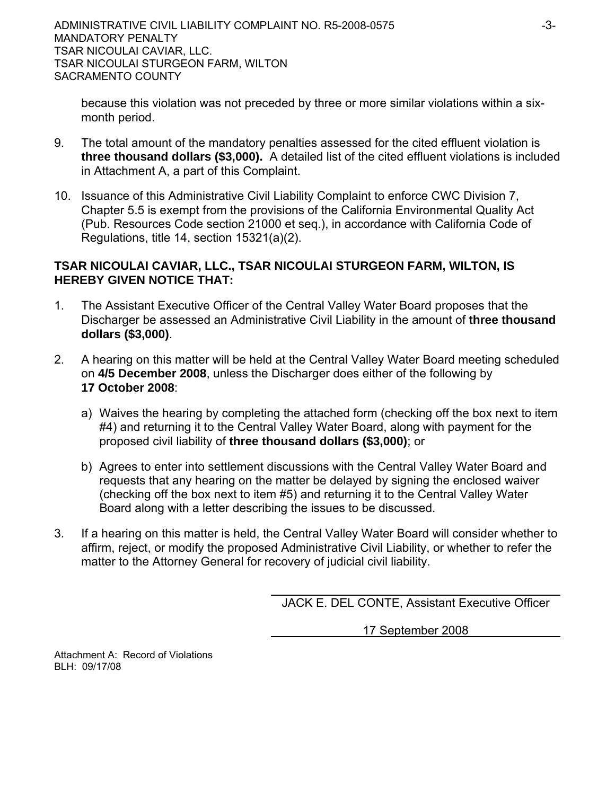because this violation was not preceded by three or more similar violations within a sixmonth period.

- 9. The total amount of the mandatory penalties assessed for the cited effluent violation is **three thousand dollars (\$3,000).** A detailed list of the cited effluent violations is included in Attachment A, a part of this Complaint.
- 10. Issuance of this Administrative Civil Liability Complaint to enforce CWC Division 7, Chapter 5.5 is exempt from the provisions of the California Environmental Quality Act (Pub. Resources Code section 21000 et seq.), in accordance with California Code of Regulations, title 14, section 15321(a)(2).

# **TSAR NICOULAI CAVIAR, LLC., TSAR NICOULAI STURGEON FARM, WILTON, IS HEREBY GIVEN NOTICE THAT:**

- 1. The Assistant Executive Officer of the Central Valley Water Board proposes that the Discharger be assessed an Administrative Civil Liability in the amount of **three thousand dollars (\$3,000)**.
- 2. A hearing on this matter will be held at the Central Valley Water Board meeting scheduled on **4/5 December 2008**, unless the Discharger does either of the following by **17 October 2008**:
	- a) Waives the hearing by completing the attached form (checking off the box next to item #4) and returning it to the Central Valley Water Board, along with payment for the proposed civil liability of **three thousand dollars (\$3,000)**; or
	- b) Agrees to enter into settlement discussions with the Central Valley Water Board and requests that any hearing on the matter be delayed by signing the enclosed waiver (checking off the box next to item #5) and returning it to the Central Valley Water Board along with a letter describing the issues to be discussed.
- 3. If a hearing on this matter is held, the Central Valley Water Board will consider whether to affirm, reject, or modify the proposed Administrative Civil Liability, or whether to refer the matter to the Attorney General for recovery of judicial civil liability.

JACK E. DEL CONTE, Assistant Executive Officer

17 September 2008

Attachment A: Record of Violations BLH: 09/17/08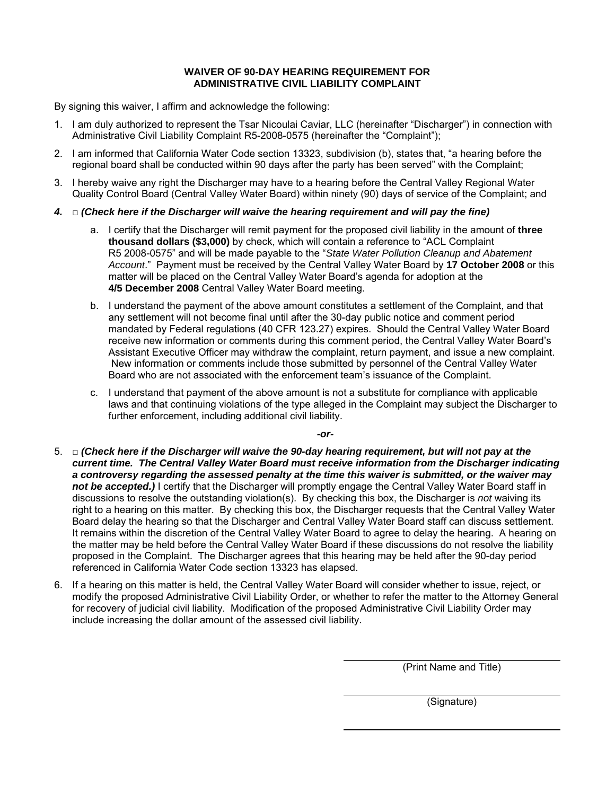### **WAIVER OF 90-DAY HEARING REQUIREMENT FOR ADMINISTRATIVE CIVIL LIABILITY COMPLAINT**

By signing this waiver, I affirm and acknowledge the following:

- 1. I am duly authorized to represent the Tsar Nicoulai Caviar, LLC (hereinafter "Discharger") in connection with Administrative Civil Liability Complaint R5-2008-0575 (hereinafter the "Complaint");
- 2. I am informed that California Water Code section 13323, subdivision (b), states that, "a hearing before the regional board shall be conducted within 90 days after the party has been served" with the Complaint;
- 3. I hereby waive any right the Discharger may have to a hearing before the Central Valley Regional Water Quality Control Board (Central Valley Water Board) within ninety (90) days of service of the Complaint; and
- *4.* □ *(Check here if the Discharger will waive the hearing requirement and will pay the fine)* 
	- a. I certify that the Discharger will remit payment for the proposed civil liability in the amount of **three thousand dollars (\$3,000)** by check, which will contain a reference to "ACL Complaint R5 2008-0575" and will be made payable to the "*State Water Pollution Cleanup and Abatement Account*." Payment must be received by the Central Valley Water Board by **17 October 2008** or this matter will be placed on the Central Valley Water Board's agenda for adoption at the **4/5 December 2008** Central Valley Water Board meeting.
	- b. I understand the payment of the above amount constitutes a settlement of the Complaint, and that any settlement will not become final until after the 30-day public notice and comment period mandated by Federal regulations (40 CFR 123.27) expires. Should the Central Valley Water Board receive new information or comments during this comment period, the Central Valley Water Board's Assistant Executive Officer may withdraw the complaint, return payment, and issue a new complaint. New information or comments include those submitted by personnel of the Central Valley Water Board who are not associated with the enforcement team's issuance of the Complaint.
	- c. I understand that payment of the above amount is not a substitute for compliance with applicable laws and that continuing violations of the type alleged in the Complaint may subject the Discharger to further enforcement, including additional civil liability.

*-or-*

- 5. □ *(Check here if the Discharger will waive the 90-day hearing requirement, but will not pay at the current time. The Central Valley Water Board must receive information from the Discharger indicating a controversy regarding the assessed penalty at the time this waiver is submitted, or the waiver may*  not be accepted.) I certify that the Discharger will promptly engage the Central Valley Water Board staff in discussions to resolve the outstanding violation(s). By checking this box, the Discharger is *not* waiving its right to a hearing on this matter. By checking this box, the Discharger requests that the Central Valley Water Board delay the hearing so that the Discharger and Central Valley Water Board staff can discuss settlement. It remains within the discretion of the Central Valley Water Board to agree to delay the hearing. A hearing on the matter may be held before the Central Valley Water Board if these discussions do not resolve the liability proposed in the Complaint. The Discharger agrees that this hearing may be held after the 90-day period referenced in California Water Code section 13323 has elapsed.
- 6. If a hearing on this matter is held, the Central Valley Water Board will consider whether to issue, reject, or modify the proposed Administrative Civil Liability Order, or whether to refer the matter to the Attorney General for recovery of judicial civil liability. Modification of the proposed Administrative Civil Liability Order may include increasing the dollar amount of the assessed civil liability.

(Print Name and Title)

(Signature)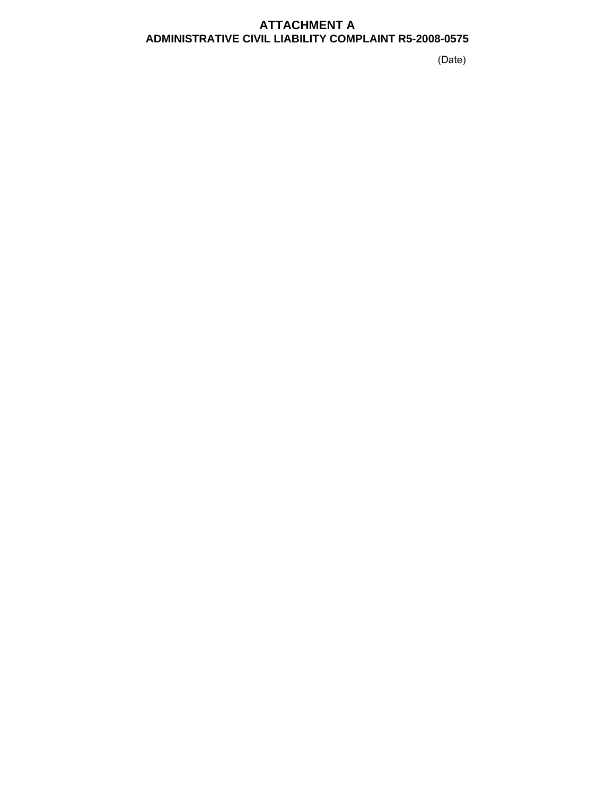## **ATTACHMENT A ADMINISTRATIVE CIVIL LIABILITY COMPLAINT R5-2008-0575**

(Date)